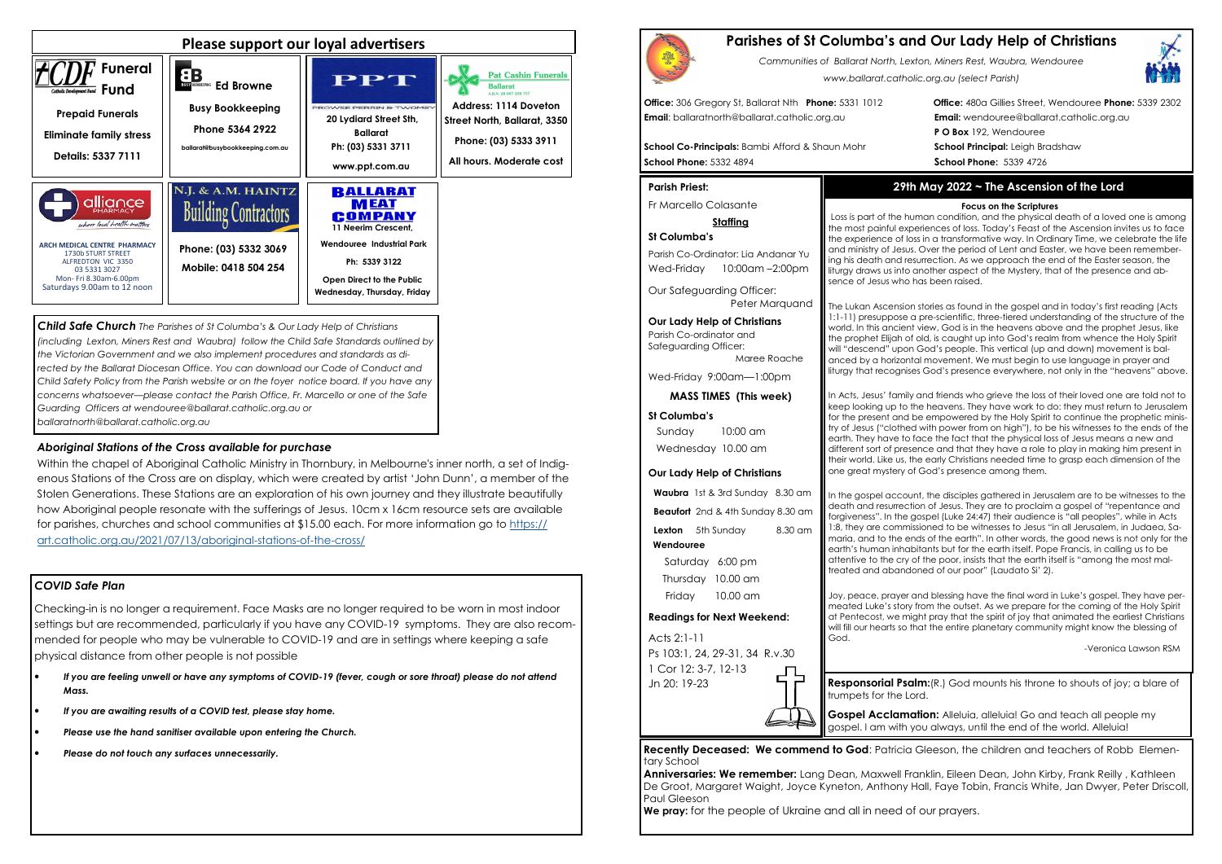## *COVID Safe Plan*

Checking-in is no longer a requirement. Face Masks are no longer required to be worn in most indoor settings but are recommended, particularly if you have any COVID-19 symptoms. They are also recommended for people who may be vulnerable to COVID-19 and are in settings where keeping a safe physical distance from other people is not possible

- *If you are feeling unwell or have any symptoms of COVID-19 (fever, cough or sore throat) please do not attend Mass.*
- *If you are awaiting results of a COVID test, please stay home.*
- *Please use the hand sanitiser available upon entering the Church.*
- *Please do not touch any surfaces unnecessarily.*





*Child Safe Church The Parishes of St Columba's & Our Lady Help of Christians (including Lexton, Miners Rest and Waubra) follow the Child Safe Standards outlined by the Victorian Government and we also implement procedures and standards as di*rected by the Ballarat Diocesan Office. You can download our Code of Conduct and *Child Safety Policy from the Parish website or on the foyer notice board. If you have any concerns whatsoever—please contact the Parish Office, Fr. Marcello or one of the Safe Guarding Officers at wendouree@ballarat.catholic.org.au or ballaratnorth@ballarat.catholic.org.au* 

Parish Co-Ordinator: Lia Andanar Yu Wed-Friday 10:00am -2:00pm

### *Aboriginal Stations of the Cross available for purchase*

 Within the chapel of Aboriginal Catholic Ministry in Thornbury, in Melbourne's inner north, a set of Indigenous Stations of the Cross are on display, which were created by artist 'John Dunn', a member of the Stolen Generations. These Stations are an exploration of his own journey and they illustrate beautifully how Aboriginal people resonate with the sufferings of Jesus. 10cm x 16cm resource sets are available for parishes, churches and school communities at \$15.00 each. For more information go to https://art.catholic.org.au/2021/07/13/aboriginal-stations-of-the-cross/

# **Parishes of St Columba's and Our Lady Help of Christians**

*Communities of Ballarat North, Lexton, Miners Rest, Waubra, Wendouree www.ballarat.catholic.org.au (select Parish)* 

**Office:** 306 Gregory St, Ballarat Nth **Phone:** 5331 1012 **Office:** 480a Gillies Street, Wendouree **Phone:** 5339 2302**P O Box** 192, Wendouree

**Email**: ballaratnorth@ballarat.catholic.org.au **Email:** wendouree@ballarat.catholic.org.au

**School Co-Principals:** Bambi Afford & Shaun Mohr **School Principal:** Leigh Bradshaw **School Phone:** 5332 4894 **School Phone:** 5339 4726

#### **Parish Priest:**

Fr Marcello Colasante

### **Staffing**

### **St Columba's**

Our Safeguarding Officer: Peter Marquand

**Our Lady Help of Christians**Parish Co-ordinator and Safeguarding Officer:

Maree Roache

Wed-Friday 9:00am—1:00pm

**MASS TIMES (This week)**

#### **St Columba's**

 Sunday 10:00 am Wednesday 10.00 am

#### **Our Lady Help of Christians**

**Waubra** 1st & 3rd Sunday 8.30 am

**Beaufort** 2nd & 4th Sunday 8.30 am

**Lexton** 5th Sunday 8.30 am

#### **Wendouree**

Saturday 6:00 pm Thursday 10.00 am Friday 10.00 am

> **Gospel Acclamation:** Alleluia, alleluia! Go and teach all people my gospel. I am with you always, until the end of the world. Alleluia!

### **Readings for Next Weekend:**

Acts 2:1-11 Ps 103:1, 24, 29-31, 34 R.v.30 1 Cor 12: 3-7, 12-13 Jn 20: 19-23

**Recently Deceased: We commend to God**: Patricia Gleeson, the children and teachers of Robb Elementary School

 **Anniversaries: We remember:** Lang Dean, Maxwell Franklin, Eileen Dean, John Kirby, Frank Reilly , Kathleen De Groot, Margaret Waight, Joyce Kyneton, Anthony Hall, Faye Tobin, Francis White, Jan Dwyer, Peter Driscoll, Paul Gleeson

**We pray:** for the people of Ukraine and all in need of our prayers.



# **29th May 2022 ~ The Ascension of the Lord**

#### **Focus on the Scriptures**

 Loss is part of the human condition, and the physical death of a loved one is among the most painful experiences of loss. Today's Feast of the Ascension invites us to face the experience of loss in a transformative way. In Ordinary Time, we celebrate the life and ministry of Jesus. Over the period of Lent and Easter, we have been remembering his death and resurrection. As we approach the end of the Easter season, the liturgy draws us into another aspect of the Mystery, that of the presence and absence of Jesus who has been raised.

The Lukan Ascension stories as found in the gospel and in today's first reading (Acts 1:1-11) presuppose a pre-scientific, three-tiered understanding of the structure of the world. In this ancient view, God is in the heavens above and the prophet Jesus, like the prophet Elijah of old, is caught up into God's realm from whence the Holy Spirit will "descend" upon God's people. This vertical (up and down) movement is balanced by a horizontal movement. We must begin to use language in prayer and liturgy that recognises God's presence everywhere, not only in the "heavens" above.

In Acts, Jesus' family and friends who grieve the loss of their loved one are told not to keep looking up to the heavens. They have work to do: they must return to Jerusalem for the present and be empowered by the Holy Spirit to continue the prophetic ministry of Jesus ("clothed with power from on high"), to be his witnesses to the ends of the earth. They have to face the fact that the physical loss of Jesus means a new and different sort of presence and that they have a role to play in making him present in their world. Like us, the early Christians needed time to grasp each dimension of the one great mystery of God's presence among them.

In the gospel account, the disciples gathered in Jerusalem are to be witnesses to the death and resurrection of Jesus. They are to proclaim a gospel of "repentance and forgiveness". In the gospel (Luke 24:47) their audience is "all peoples", while in Acts 1:8, they are commissioned to be witnesses to Jesus "in all Jerusalem, in Judaea, Samaria, and to the ends of the earth". In other words, the good news is not only for the earth's human inhabitants but for the earth itself. Pope Francis, in calling us to be attentive to the cry of the poor, insists that the earth itself is "among the most maltreated and abandoned of our poor" (Laudato Si' 2).

Joy, peace, prayer and blessing have the final word in Luke's gospel. They have permeated Luke's story from the outset. As we prepare for the coming of the Holy Spirit at Pentecost, we might pray that the spirit of joy that animated the earliest Christians will fill our hearts so that the entire planetary community might know the blessing of

God.

-Veronica Lawson RSM

**Responsorial Psalm:**(R.) God mounts his throne to shouts of joy; a blare of

trumpets for the Lord.